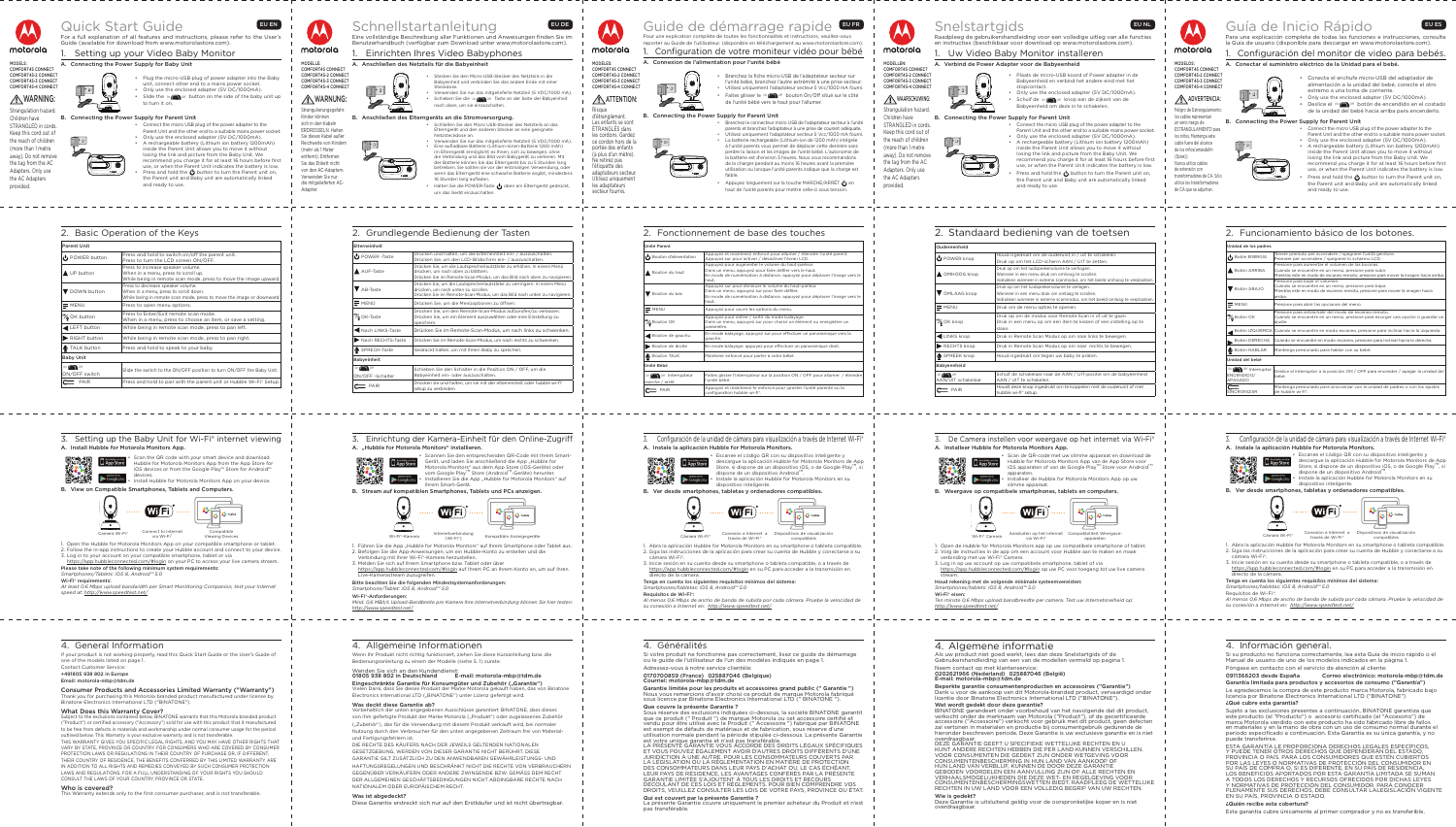



# Quick Start Guide **EUEN** For a full explanation of all features and instructions, please refer to the User's

Guide (available for download from www.motorolastore.com)

1. Setting up your Video Baby Monitor A. Connecting the Power Supply for Baby Unit

unit, connect other end to a mains power socket. • Only use the enclosed adapter (5V DC/1000mA). Slide the on  $\bigcap$  off button on the side of the baby unit up to turn it on. B. Connecting the Power Supply for Parent Unit



• Plug the micro-USB plug of power adapter into the Baby

| motorola |
|----------|

• Connect the micro USB plug of the power adapter to the

Parent Unit and the other end to a suitable mains power socket. • Only use the enclosed adapter (5V DC/1000mA). • A rechargeable battery (Lithium ion battery 1200mAh) inside the Parent Unit allows you to move it without losing the link and picture from the Baby Unit. We recommend you charge it for at least 16 hours before first use, or when the Parent Unit indicates the battery is low. Press and hold the  $\bigcirc$  button to turn the Parent unit on, the Parent unit and Baby unit are automatically linked and ready to use.

# WARNING:

Strangulation hazard. Children have STRANGLED in cords. Keep this cord out of the reach of children (more than 1 metre away). Do not remove

the tag from the AC Adapters. Only use the AC Adapters provided.

• Halten Sie die POWER-Taste (boben am Elterngerät gedrückt, um das Gerät einzuschalten.

| ۰  |  |
|----|--|
| im |  |

|                                  | 2. Basic Operation of the Keys                                                                                                                      |
|----------------------------------|-----------------------------------------------------------------------------------------------------------------------------------------------------|
| <b>Parent Unit</b>               |                                                                                                                                                     |
| POWER button                     | Press and hold to switch on/off the parent unit.<br>Press to turn the LCD screen ON/OFF.                                                            |
| UP button                        | Press to increase speaker volume.<br>When in a menu, press to scroll up.<br>While being in remote scan mode, press to move the image upward.        |
| DOWN button                      | Press to decrease speaker volume.<br>When in a menu, press to scroll down.<br>While being in remote scan mode, press to move the image or downward. |
| $=$ MENU                         | Press to open menu options.                                                                                                                         |
| $\frac{1}{2}$ OK button          | Press to Enter/Exit remote scan mode.<br>When in a menu, press to choose an item, or save a setting.                                                |
| LEFT button                      | While being in remote scan mode, press to pan left.                                                                                                 |
| RIGHT button                     | While being in remote scan mode, press to pan right.                                                                                                |
| TALK button                      | Press and hold to speak to your baby.                                                                                                               |
| <b>Baby Unit</b>                 |                                                                                                                                                     |
| $On \frown$ off<br>ON/OFF switch | Slide the switch to the ON/OFF position to turn ON/OFF the Baby Unit.                                                                               |
| $C \equiv P AIR$                 | Press and hold to pair with the parent unit or Hubble Wi-Fi <sup>®</sup> Setup.                                                                     |

**A**WARNUNG: Strangulierungsgefahr Kinder können sich in den Kabeln ERDROSSELN. Halten Sie dieses Kabel außer

MODELLE: COMFORT45 CONNECT COMFORT45-2 CONNECT COMFORT45-3 CONNECT COMFORT45-4 CONNECT

# Schnellstartanleitung

Eine vollständige Beschreibung aller Funktionen und Anweisungen finden Sie im Benutzerhandbuch (verfügbar zum Download unter www.motorolastore.com).

## motorola MODÈLES: COMFORT45 CONNECT COMFORT45-2 CONNECT

COMFORT45-3 CONNECT COMFORT45-4 CONNECT ATTENTION:

## 1. Einrichten Ihres Video Babyphones

Pour une explication complète de toutes les fonctionnalités et instructions, veuillez-vous eporter au Guide de l'utilisateur. (disponible en téléchargement au www.motorc 1. Configuration de votre moniteur vidéo pour bébé .. Connexion de l'alimentation pour l'unité bébé

A. Anschließen des Netzteils für die Babyeinheit

• Branchez la fiche micro-USB de l'adaptateur secteur sur l'unité bébé, branchez l'autre extrémité à une prise secteur. • Utilisez uniquement l'adaptateur secteur 5 Vcc/1000 mA fourni. Faites glisser le on of bouton On/Off situé sur le côté

- Stecken Sie den Micro-USB-Stecker des Netzteils in die Babyeinheit und verbinden Sie das andere Ende mit einer
- Steckdose. Verwenden Sie nur das mitgelieferte Netzteil (5 VDC/1000 mA). **Schieben Sie die On O Off** Taste an der Seite der Babyeinheit nach oben, um sie einzuschalten.
- B. Anschließen des Elterngeräts an die Stromversorgung.
	- Schließen Sie den Micro USB-Stecker des Netzteils an das Elterngerät und den anderen Stecker an eine geeignete Netzsteckdose an.
	- Verwenden Sie nur das mitgelieferte Netzteil (5 VDC/1000 mA). • Eine aufladbare Batterie (Lithium-Ionen-Batterie 1200 mAh) m Elterngerät ermöglicht es Ihnen, sich zu bewegen, ohne die Verbindung und das Bild vom Babygerät zu verlieren. Mit der Batterie können Sie das Elterngerät bis zu 5 Stunden lang betreiben. Sie sollten sie vor der erstmaligen Verwendung, oder wenn das Elterngerät eine schwache Batterie angibt, mindestens 16 Stunden lang aufladen.

haut.  $\blacksquare$  MENU | Appuyez pour ouvrir les options du menu

Reichweite von Kindern



# Guide de démarrage rapide EUER

(mehr als 1 Meter entfernt). Entfernen Sie das Etikett nicht von den AC-Adaptern. Verwenden Sie nur die mitgelieferten AC-

Adapter.

2. Grundlegende Bedienung der Tasten

PAIR PAIR Appuyez et maintenez-le enfoncé pour jumeler l'unité parente ou la configuration hubble wi-fi®.

|     | Elterneinheit                 |                                                                                                                                                                                        |
|-----|-------------------------------|----------------------------------------------------------------------------------------------------------------------------------------------------------------------------------------|
|     | $\bigcup$ POWER -Taste        | Drücken und halten, um die Elterneinheit ein- / auszuschalten.<br>Drücken Sie, um den LCD-Bildschirm ein- / auszuschalten.                                                             |
| rd  | AUF-Taste                     | Drücken Sie, um die Lautsprecherlautstärke zu erhöhen. In einem Menü<br>drücken, um nach oben zu blättern.<br>Drücken Sie im Remote-Scan-Modus, um das Bild nach oben zu navigier      |
| ırd | AB-Taste                      | Drücken Sie, um die Lautsprecherlautstärke zu verringern. In einem Menü<br>drücken, um nach unten zu scrollen.<br>Drücken Sie im Remote-Scan-Modus, um das Bild nach unten zu navigier |
|     | $\equiv$ MENÜ                 | Drücken Sie, um die Menüoptionen zu öffnen.                                                                                                                                            |
|     | OK-Taste                      | Drücken Sie, um den Remote-Scan-Modus aufzurufen/zu verlassen.<br>Drücken Sie, um ein Element auszuwählen oder eine Einstellung zu<br>speichern.                                       |
|     | Nach LINKS-Taste              | Drücken Sie im Remote-Scan-Modus, um nach links zu schwenke                                                                                                                            |
|     | Nach RECHTS-Taste             | Drücken Sie im Remote-Scan-Modus, um nach rechts zu schwenken.                                                                                                                         |
|     | SPRECH-Taste                  | Gedrückt halten, um mit Ihrem Baby zu sprechen.                                                                                                                                        |
|     | Babyeinheit                   |                                                                                                                                                                                        |
| it. | <b>Off</b><br>ON/OFF-Schalter | Schieben Sie den Schalter in die Position ON / OFF, um die<br>Babyeinheit ein- oder auszuschalten.                                                                                     |
| ıp. | PAIR                          | Drücken sie und halten, um sie mit der elterneinheit oder hubble wi-fi®<br>المستحدث والمستقطع والمنادر والمستنصر والمناسب                                                              |

k op om de modus voor Remote Scan in of uit te gaan. Druk in een menu op om een item te kiezen of een instelling op te

uif de schakelaar naar de AAN / UIT-positie om de babye

ruk op om het luidsprekervolume te verhogen eer in een menu druk om omhoog te scroller.

 $uk$  op om het luidsprekervolume te verlage nneer in een menu druk om omlaag te scroller. ken wanneer in externe scanmodus, om het bee

 $\Theta$  POWER knop Houd ingedrukt om de ouderunit in / uit te schakelen.

 $\equiv$  MENU  $\sim$  Druk om de menu opties te openen

setup zu verbinden



Para una explicación completa de todas las funciones e instrucciones, consulte la Guía de usuario (disponible para descargar en www.motorolastore.com).

de l'unité bébé vers le haut pour l'allumer.



B. Connecting the Power Supply for Parent Unit



• Branchez le connecteur micro USB de l'adaptateur secteur à l'unité parents et branchez l'adaptateur à une prise de courant adéquate.

Peligro de Estrangulamiento los cables representan un serio riesgo de ESTRANGULAMIENTO para los niños. Mantenga este cable fuera del alcance

de los niños(amásde1m (3pies)).



• Utilisez uniquement l'adaptateur secteur 5 Vcc/1000 mA fourni. • La batterie rechargeable (Lithium-ion de 1200 mAh) intégrée à l'unité parents vous permet de déplacer cette dernière sans perdre la liaison et les images de l'unité bébé. L'autonomie de a batterie est d'environ 5 heures. Nous vous recommandons de la charger pendant au moins 16 heures avant la première utilisation ou lorsque l'unité parents indique que la charge est

faible. Appuyez longuement sur la touche MARCHE/ARRÊT  $\bigoplus$  en haut de l'unité parents pour mettre celle-ci sous tension.



motorola

# Snelstartgids **EUNL**

Risque d'étranglement. Les enfants se sont

ÉTRANGLÉS dans les cordons. Gardez ce cordon hors de la portée des enfants Ne retirez pas

(à plus d'un mètre). l'étiquette des adaptateurs secteur. Utilisez uniquement les adaptateurs

secteur fournis.

2. Fonctionnement de base des touches

Scan the QR code with your smart device and download Hubble for Motorola Monitors App from the App Store for iOS devices or from the Google Play™ Store for Android™ devices.

Unité Parent

Bouton du haut

Bouton du bas

.<br>√ Bouton Ok

Appuyez pour augmenter le volume du haut-parleur. Dans un menu, appuyez pour faire défiler vers le haut.

yez sur pour diminuer le volume du haut-parleu ns un menu, appuyez sur pour faire défiler.

haut.

Appuyez pour entrer / sortir du mode balayage.

Bouton de gauchu [En mode balayage, appuyez sur pour effectuer un panoramique vers la

paramètre.

Bouton TALK Maintenir enfoncé pour parler à votre bébé.

gauche.

Bouton d'alimentation Appuyez et maintenez enfoncé pour allumer / éteindre l'unité parent

Auyez sur pour activer / désactiver l'écran LCD.

Bouton de droite En mode balayage, appuyez pour effectuer un panoramique droit.

Unité Bébé

On **On** Off Interrupteur che / arrêt

l'unité bébé.

## 3. Einrichtung der Kamera-Einheit für den Online-Zugriff A. "Hubble for Motorola Monitors" installieren.

MODELLEN: COMFORT45 CONNECT COMFORT45-2 CONNECT COMFORT45-3 CONNECT COMFORT45-4 CONNECT

## WAARSCHUWING: **Strangulation hazard.**

## Raadpleeg de gebruikershandleiding voor een volledige uitleg van alle functies en instructies (beschikbaar voor download op www.motorolastore.com).

# Uw Video Baby Monitor installeren

- 1. Führen Sie die App "Hubble for Motorola Monitors" auf Ihrem Smartphone oder Tablet aus. 2. Befolgen Sie die App-Anweisungen, um ein Hubble-Konto zu erstellen und die
- Verbindung mit Ihrer Wi-Fi®-Kamera herzustellen. 3. Melden Sie sich auf Ihrem Smartphone bzw. Tablet oder über

## A. Verbind de Power Adapter voor de Babyeenheid

- Plaats de micro-USB koord of Power adapter in de Babyeenheid en verbind het andere eind met het topcontact • Only use the enclosed adapter (5V DC/1000mA).
- Schuif de on of knop aan de zijkant van de Babyeenheid om deze in te schakelen.

## B. Connecting the Power Supply for Parent Unit

## Was deckt diese Garantie ab? Vorbehaltlich der unten angegebenen Ausschlüsse garantiert BINATONE, dass dieses von ihm gefertigte Produkt der Marke Motorola ("Produkt") oder zugelassenes Zubehör

- Connect the micro USB plug of the power adapter to the Parent Unit and the other end to a suitable mains power socket. • Only use the enclosed adapter (5V DC/1000mA).
- A rechargeable battery (Lithium ion battery 1200mAh) inside the Parent Unit allows you to move it without losing the link and picture from the Baby Unit. We recommend you charge it for at least 16 hours before first
- use, or when the Parent Unit indicates the battery is low. Press and hold the (button to turn the Parent unit on, the Parent unit and Baby unit are automatically linked and ready to use.

motorola

("Zubehör"), das für die Verwendung mit diesem Produkt verkauft wird, bei normaler Nutzung durch den Verbraucher für den unten angegebenen Zeitraum frei von Materialund Fertigungsfehlern ist. DIE RECHTE DES KÄUFERS NACH DER JEWEILS GELTENDEN NATIONALEN

Children have STRANGLED in cords. Keep this cord out of the reach of children (more than 1 metre away). Do not remove the tag from the AC Adapters. Only use the AC Adapters

l provided.



2. Standaard bediening van de toetsen

través de Wi-Fi compatibles Oudereenheid

OMHOOG knop

**V** OMLAAG knop

<sup>9%</sup>@ OK knop

slaan.

 LINKS knop Druk in Remote Scan Modus op om naar links te bewegen. RECHTS knop Druk in Remote Scan Modus op om naar rechts te bewegen.

 $\bigcup$  SPREEK knop Houd ingedrukt om tegen uw baby te prater

Babyeenheid On O

IT schakel



AAN / UIT te schakelen.

ble wi-fi® setup

ruk op om het LCD-scherm AAN / UIT te zetten.

ukken wanneer in externe scanmodus, om het beeld omhoog te verplaat

MODELOS: COMFORT45 CONNECT COMFORT45-2 CONNECT COMFORT45-3 CONNECT COMFORT45-4 CONNECT

ADVERTENCIA:

## 1. Configuración del monitor de video para bebés. A. Conectar el suministro eléctrico de la Unidad para el bebé.



- Conecte el enchufe micro-USB del adaptador de alimentación a la unidad del bebé, conecte el otro extremo a una toma de corriente. • Only use the enclosed adapter (5V DC/1000mA).
- **Deslice el on off botón de encendido en el costado**
- de la unidad del bebé hacia arriba para encenderlo. B. Connecting the Power Supply for Parent Unit
	- Connect the micro USB plug of the power adapter to the Parent Unit and the other end to a suitable mains power socket. • Only use the enclosed adapter (5V DC/1000mA). • A rechargeable battery (Lithium ion battery 1200mAh) inside the Parent Unit allows you to move it without losing the link and picture from the Baby Unit. We
	- recommend you charge it for at least 16 hours before first use, or when the Parent Unit indicates the battery is low. Press and hold the  $\bigcup$  button to turn the Parent unit on, the Parent unit and Baby unit are automatically linked and ready to use.

Deze Garantie is uitsluitend geldig voor de oorspronkelijke koper en is niet overdraagbaar

• Escanee el código QR con su dispositivo inteligente y descargue la aplicación Hubble for Motorola Monitors de App Store, si dispone de un dispositivo iOS, o de Google Play $^{\text{\tiny{TM}}}$ , si dispone de un dispositivo Android Instale la aplicación Hubble for Motorola Monitors en su

Nunca utilice cables de extensión con transformadores de CA. Sólo utilice los transformadores de CA que se adjuntan.

### dispositivo inteligente. B. Ver desde smartphones, tabletas y ordenadores compatibles.





Cámara Wi-Fi®

## 2. Funcionamiento básico de los botones.



| idad de los padres                   |                                                                                                                                                                                                   |
|--------------------------------------|---------------------------------------------------------------------------------------------------------------------------------------------------------------------------------------------------|
| Botón ENERGÍA                        | Tenere premuto per accendere / spegnere l'unità genitore.<br>Premere per accendere / spegnere lo schermo LCD.                                                                                     |
| Botón ARRIBA                         | Presione para aumentar el volumen de las bocinas.<br>Cuando se encuentre en un menú, presione para subir.<br>Mientras este en modo de escaneo remoto, presione para mover la imagen hacia arriba. |
| Botón ABAJO                          | Presione para bajar el volumen.<br>Cuando se encuentre en un menú, presione para bajar.<br>Mientras este en modo de escaneo remoto, presione para mover la imagen hacia<br>arriba.                |
| MENÚ                                 | Presione para abrir las opciones del menú.                                                                                                                                                        |
| Botón OK                             | Presione para entrar/salir del modo de escaneo remoto.<br>Cuando se encuentre en un menú, presione para escoger una opción o guardar un<br>aiuste.                                                |
|                                      | Botón IZQUIERDA Cuando se encuentre en modo escaneo, presione para inclinar hacia la izquierda.                                                                                                   |
| Botón DERECHA                        | Cuando se encuentre en modo escaneo, presione para inclinar hacia la derecha.                                                                                                                     |
| Botón HABLAR                         | Mantenga presionado para hablar con su bebé.                                                                                                                                                      |
| idad del bebé                        |                                                                                                                                                                                                   |
| Off Interruptor<br>CENDIDO/<br>AGADO | Deslice el interruptor a la posición ON / OFF para encender / apagar la unidad del<br>bebé.                                                                                                       |
| <b>ICRONIZAR</b>                     | Mantenga presionado para sincronizar con la unidad de padres o con los ajustes<br>de hubble wi-fi <sup>®</sup> .                                                                                  |







## 3. Setting up the Baby Unit for Wi-Fi® internet viewing A. Install Hubble for Motorola Monitors App.



• Install Hubble for Motorola Monitors App on your device. B. View on Compatible Smartphones, Tablets and Computers.





Camera Wi-Fi® Connect to Internet via Wi-Fi® Compatible Viewing Devices

1. Open the Hubble for Motorola Monitors App on your compatible smartphone or tablet.

2. Follow the in-app instructions to create your Hubble account and connect to your device. 3. Log in to your account on your compatible smartphone, tablet or via https://app.hubbleconnected.com/#login on your PC to access your live camera stream.

Please take note of the following minimum system requirements: *Smartphones/Tablets: iOS 8, Android™ 5.0*

Wi-Fi® requirements:

*At least 0.6 Mbps upload bandwidth per Smart Montitoring Companion, test your Internet speed at: http://www.speedtest.net/*

## 4. General Information

If your product is not working properly, read this Quick Start Guide or the User's Guide of one of the models listed on page 1. Contact Customer Service:

+491805 938 802 in Europe

## Email: motorola-mbp@tdm.de

Consumer Products and Accessories Limited Warranty ("Warranty") Thank you for purchasing this Motorola branded product manufactured under license by Binatone Electronics International LTD ("BINATONE").

## What Does this Warranty Cover?

Subject to the exclusions contained below, BINATONE warrants that this Motorola branded product ("Product") or certified accessory ("Accessory") sold for use with this product that it manufactured to be free from defects in materials and workmanship under normal consumer usage for the period outlined below. This Warranty is your exclusive warranty and is not transferable.

THIS WARRANTY GIVES YOU SPECIFIC LEGAL RIGHTS, AND YOU MAY HAVE OTHER RIGHTS THAT VARY BY STATE, PROVINCE OR COUNTRY. FOR CONSUMERS WHO ARE COVERED BY CONSUMER PROTECTION LAWS OR REGULATIONS IN THEIR COUNTRY OF PURCHASE OR, IF DIFFERENT, THEIR COUNTRY OF RESIDENCE, THE BENEFITS CONFERRED BY THIS LIMITED WARRANTY ARE IN ADDITION TO ALL RIGHTS AND REMEDIES CONVEYED BY SUCH CONSUMER PROTECTION LAWS AND REGULATIONS. FOR A FULL UNDERSTANDING OF YOUR RIGHTS YOU SHOULD CONSULT THE LAWS OF YOUR COUNTRY, PROVINCE OR STATE.

## Who is covered?

This Warranty extends only to the first consumer purchaser, and is not transferable.

• Scannen Sie den entsprechenden QR-Code mit Ihrem Smart-Gerät, und laden Sie anschließend die App "Hubble for Motorola Monitors" aus dem App Store (iOS-Geräte) oder vom Google Play™ Store (Android™-Geräte) herunter. Installieren Sie die App "Hubble for Motorola Monitors" auf Ihrem Smart-Gerät.

B. Stream auf kompatiblen Smartphones, Tablets und PCs anzeigen.

 $\bullet$ 





Wi-Fi®-Kamera  $(Wi-Fi<sup>*</sup>)$ 

### https://app.hubbleconnected.com/#login auf Ihrem PC an Ihrem Konto an, um auf Ihren Live-Kamerastream zuzugreifen.

Bitte beachten Sie die folgenden Mindestsystemanforderungen: *Smartphone/Tablet: iOS 8, Android™ 5.0*

Wi-Fi®-Anforderungen:

*Mind. 0,6 MBit/s Upload-Bandbreite pro Kamera Ihre Internetverbindung können Sie hier testen: http://www.speedtest.net/*

## 4. Allgemeine Informationen

Wenn Ihr Produkt nicht richtig funktioniert, ziehen Sie diese Kurzanleitung bzw. die Bedienungsanleitung zu einem der Modelle (siehe S. 1) zurate.

### Wenden Sie sich an den Kundendienst: 01805 938 802 in Deutschland E-mail: motorola-mbp@tdm.de

**Eingeschränkte Garantie für Konsumgüter und Zubehör ("Garantie")**<br>Vielen Dank, dass Sie dieses Produkt der Marke Motorola gekauft haben, das von Binatone

Electronics International LTD ("BINATONE") unter Lizenz gefertigt wird.

GESETZGEBUNG, WERDEN VON DIESER GARANTIE NICHT BERÜHRT. DIESE GARANTIE GILT ZUSÄTZLICH ZU DEN ANWENDBAREN GEWÄHRLEISTUNGS- UND HAFTUNGSREGELUNGEN UND BESCHRÄNKT NICHT DIE RECHTE VON VERBRAUCHERN GEGENÜBER VERKÄUFERN ODER ANDERE ZWINGENDE BZW. GEMÄSS DEM RECHT DER ALLGEMEINEN GESCHÄFTSBEDINGUNGEN NICHT ABDINGBARE RECHTE NACH NATIONALEM ODER EUROPÄISCHEM RECHT.

## Was ist abgedeckt?

Diese Garantie erstreckt sich nur auf den Erstkäufer und ist nicht übertragbar.

3. Configuración de la unidad de cámara para visualización a través de Internet Wi-Fi®

dispone de un dispositivo Android $^{\text{\tiny{\textsf{TN}}}}$ 

node de numérisation à distance, appuyez pour déplacer l'image ver

mode de numérisation à distance, appuyez pour déplacer l'image vers

s un menu, appuyez sur pour choisir un élément ou enregistrer un

Faites glisser l'interrupteur sur la position ON / OFF pour allumer / étein

Escanee el código QR con su dispositivo inteligente y descargue la aplicación Hubble for Motorola Monitors de App Store, si dispone de un dispositivo iOS, o de Google Play $^{\text{\tiny{\textsf{TM}}}}$ , si .

A. Instale la aplicación Hubble for Motorola Monitors.





- 2. Siga las instrucciones de la aplicación para crear su cuenta de Hubble y conectarse a su
- 3. Inicie sesión en su cuenta desde su smartphone o tableta compatible, o a través de

# Guía de Inicio Rápido

- 1. Abra la aplicación Hubble for Motorola Monitors en su smartphone o tableta compatible.
- cámara Wi-Fi®.
- https://app.hubbleconnected.com/#login en su PC para acceder a la transmisión en directo de la cámara.

## Tenga en cuenta los siguientes requisitos mínimos del sistema:

## *Smartphones/tabletas: iOS 8, Android™ 5.0*

Requisitos de Wi-Fi®: *Al menos 0,6 Mbps de ancho de banda de subida por cada cámara. Pruebe la velocidad de* 

*su conexión a Internet en: http://www.speedtest.net/*

## 4. Généralités

Si votre produit ne fonctionne pas correctement, lisez ce guide de démarrage ou le guide de l'utilisateur de l'un des modèles indiqués en page 1. Adressez-vous à notre service clientèle:

0170700859 (France) 025887046 (Belgique)

Courriel: motorola-mbp@tdm.de

Garantie limitée pour les produits et accessoires grand public (" Garantie ") Nous vous remercions d'avoir choisi ce produit de marque Motorola fabriqué sous licence par Binatone Electronics International LTD (" BINATONE "). Que couvre la présente Garantie ?

Sous réserve des exclusions indiquées ci-dessous, la société BINATONE garantit que ce produit (" Produit ") de marque Motorola ou cet accessoire certifié et vendu pour être utilisé avec le Produit (" Accessoire ") fabriqué par BINATONE est exempt de défauts de matériaux et de fabrication, sous réserve d'une utilisation normale pendant la période stipulée ci-dessous. La présente Garantie est votre unique garantie et n'est pas transférable.

LA PRÉSENTE GARANTIE VOUS ACCORDE DES DROITS LÉGAUX SPÉCIFIQUES ET VOUS POUVEZ ÉGALEMENT AVOIR D'AUTRES DROITS DIFFÉRENTS D'UNE JURIDICTION À UNE AUTRE. POUR LES CONSOMMATEURS COUVERTS PAR LA LÉGISLATION OU LA RÉGLEMENTATION EN MATIÈRE DE PROTECTION DES CONSOMMATEURS DANS LEUR PAYS D'ACHAT OU, LE CAS ÉCHÉANT LEUR PAYS DE RÉSIDENCE, LES AVANTAGES CONFÉRÉS PAR LA PRÉSENTE GARANTIE LIMITÉE S'AJOUTENT À TOUS LES DROITS ET RECOURS DÉCOULANT DE CES LOIS ET RÈGLEMENTS. POUR BIEN COMPRENDRE VOS

DROITS, VEUILLEZ CONSULTER LES LOIS DE VOTRE PAYS, PROVINCE OU ÉTAT. Qui est couvert par la présente Garantie ?

La présente Garantie couvre uniquement le premier acheteur du Produit et n'est pas transférable.

# 3. De Camera instellen voor weergave op het internet via Wi-Fi® A. Installeer Hubble for Motorola Monitors App. • Scan de QR-code met uw slimme apparaat en download de

PAIR Houdt deze knop ingedrukt om te koppelen met de ouderunit of met

Hubble for Motorola Monitors App van de App Store voor iOS apparaten of van de Google Play<sup>TM</sup> Store voor Android<sup>TI</sup> apparaten. • Installeer de Hubble for Motorola Monitors App op uw

slimme apparaat. B. Weergave op compatibele smartphones, tablets en computers.



- Wi-Fi® Camera Aansluiten op het Internet Compatibiliteit Weergavevia Wi-Fi apparaten
- 1. Open de Hubble for Motorola Monitors app op uw compatibele smartphone of tablet.
- 2. Volg de instructies in de app om een account voor Hubble aan te maken en maak verbinding met uw Wi-Fi® Camera. 3. Log in op uw account op uw compatibele smartphone, tablet of via
- https://app.hubbleconnected.com/#login op uw PC voor toegang tot uw live camera stream.

Houd rekening met de volgende minimale systeemvereisten:

<del>。</del>

### *Smartphones/tablets: iOS 8, Android™ 5.0* Wi-Fi® eisen:

*Ten minste 0,6 Mbps upload bandbreedte per camera. Test uw Internetsnelheid op: http://www.speedtest.net/*

## 4. Algemene informatie

Als uw product niet goed werkt, lees dan deze Snelstartgids of de Gebruikershandleiding van een van de modellen vermeld op pagina 1. Neem contact op met klantenservice: 0202621966 (Nederland) 025887046 (België)

E-mail: motorola-mbp@tdm.de

Beperkte garantie consumentenproducten en accessoires ("Garantie") Dank u voor de aankoop van dit Motorola-branded product, vervaardigd onder licentie door Binatone Electronics International LTD ("BINATONE"). Wat wordt gedekt door deze garantie?

BINATONE garandeert onder voorbehoud van het navolgende dat dit product, verkocht onder de merknaam van Motorola ("Product"), of de gecertificeerde accessoire ("Accessoire") verkocht voor gebruik met dit product, geen defecten zal vertonen in materialen en productie bij consumentgebruik gedurende de hieronder beschreven periode. Deze Garantie is uw exclusieve garantie en is niet overdraagbaar.

DEZE GARANTIE GEEFT U SPECIFIEKE WETTELIJKE RECHTEN EN U KUNT ANDERE RECHTEN HEBBEN DIE PER LAND KUNNEN VERSCHILLEN. VOOR CONSUMENTEN DIE GEDEKT ZIJN ONDER WETGEVING VOOR CONSUMENTENBESCHERMING IN HUN LAND VAN AANKOOP OF HUN LAND VAN VERBLIJF, KUNNEN DE DOOR DEZE GARANTIE GEBODEN VOORDELEN EEN AANVULLING ZIJN OP ALLE RECHTEN EN VERHAALSMOGELIJKHEDEN DIE DEZE WET- EN REGELGEVING VOOR

CONSUMENTENBESCHERMINGSWETTEN BIEDT. RAADPLEEG DE WETTELIJKE RECHTEN IN UW LAND VOOR EEN VOLLEDIG BEGRIP VAN UW RECHTEN. Wie is gedekt?

3. Configuración de la unidad de cámara para visualización a través de Internet Wi-Fi® A. Instale la aplicación Hubble for Motorola Monitors.



través de Wi-Fi® Dispositivos de visualización compatibles

1. Abra la aplicación Hubble for Motorola Monitors en su smartphone o tableta compatible. 2. Siga las instrucciones de la aplicación para crear su cuenta de Hubble y conectarse a su

- cámara Wi-Fi®.
- 
- 

3. Inicie sesión en su cuenta desde su smartphone o tableta compatible, o a través de https://app.hubbleconnected.com/#login en su PC para acceder a la transmisión en

directo de la cámara.

Tenga en cuenta los siguientes requisitos mínimos del sistema:

*Smartphones/tabletas: iOS 8, Android™ 5.0*

Requisitos de Wi-Fi®:

*Al menos 0,6 Mbps de ancho de banda de subida por cada cámara. Pruebe la velocidad de su conexión a Internet en: http://www.speedtest.net/*

## 4. Información general.

Si su producto no funciona correctamente, lea esta Guía de inicio rápido o el

Manual de usuario de uno de los modelos indicados en la página 1. Póngase en contacto con el servicio de atención al cliente: 0911366203 desde España Correo electrónico: motorola-mbp@tdm.de

Garantía limitada para productos y accesorios de consumo ("Garantía")

Le agradecemos la compra de este producto marca Motorola, fabricado bajo licencia por Binatone Electronics International LTD ("BINATONE")

¿Qué cubre esta garantía? Sujeto a las exclusiones presentes a continuación, BINATONE garantiza que este producto (el "Producto") o accesorio certificado (el "Accesorio") de marca Motorola vendido con este producto ha sido fabricado libre de fallos en materiales y en la mano de obra con un uso de consumo normal durante el periodo especificado a continuación. Esta Garantía es su única garantía, y no puede transferirse. ESTA GARANTÍA LE PROPORCIONA DERECHOS LEGALES ESPECÍFICOS, Y PUEDE TENER OTROS DERECHOS QUE DEPENDERÁN DEL ESTADO, PROVINCIA O PAÍS. PARA LOS CONSUMIDORES QUE ESTÉN CUBIERTOS POR LAS LEYES O NORMATIVAS DE PROTECCIÓN DEL CONSUMIDOR EN SU PAÍS DE COMPRA O, SI ES DIFERENTE, EN SU PAÍS DE RESIDENCIA, LOS BENEFICIOS APORTADOS POR ESTA GARANTÍA LIMITADA SE SUMAN A TODOS LOS DERECHOS Y RECURSOS OFRECIDOS POR DICHAS LEYES Y NORMATIVAS DE PROTECCIÓN DEL CONSUMIDOR. PARA CONOCER PLENAMENTE SUS DERECHOS, DEBE CONSULTAR LALEGISLACIÓN VIGENTE EN SU PAÍS, PROVINCIA O ESTADO.



- -
	-
	-
	-
	-
	-

## ¿Quién recibe esta cobertura?

Esta garantía cubre únicamente al primer comprador y no es transferible.